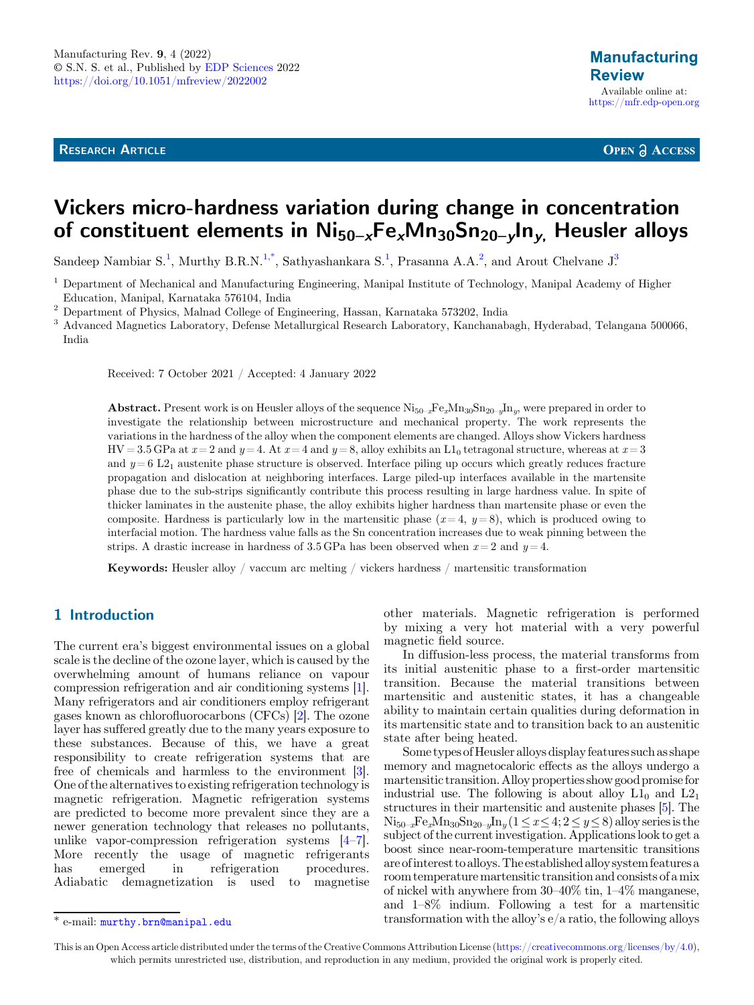RESEARCH ARTICLE

**OPEN A ACCESS** 

# Vickers micro-hardness variation during change in concentration of constituent elements in  $Ni_{50-x}Fe_xMn_{30}Sn_{20-y}ln_y$ . Heusler alloys

Sandeep Nambiar S.<sup>1</sup>, Murthy B.R.N.<sup>1,\*</sup>[, Sathyashankara S.](https://orcid.org/)<sup>1</sup>[, Prasanna A.A.](https://orcid.org/)<sup>2</sup>[, and Arout Chelvane J](https://orcid.org/).<sup>3</sup>

 $^1$  Department of Mechanical and Manufacturing Engineering, Manipal Institute of Technology, Manipal Academy of Higher Education, Manipal, Karnataka 576104. India

 $\frac{2}{3}$  Department of Physics, Malnad College of Engineering, Hassan, Karnataka 573202, India<br> $\frac{3}{3}$  Advanced Magnetics Laboratory, Defense Metallurgical Research Laboratory, Kanchanabagh, Hyderabad, Telangana 500066 India

Received: 7 October 2021 / Accepted: 4 January 2022

**Abstract.** Present work is on Heusler alloys of the sequence  $\text{Ni}_{50-x}\text{Fe}_{x}\text{Mn}_{30}\text{Sn}_{20-y}\text{In}_{y}$ , were prepared in order to investigate the relationship between microstructure and mechanical property. The work represents the variations in the hardness of the alloy when the component elements are changed. Alloys show Vickers hardness  $HV = 3.5$  GPa at  $x = 2$  and  $y = 4$ . At  $x = 4$  and  $y = 8$ , alloy exhibits an  $L_1$  tetragonal structure, whereas at  $x = 3$ and  $y = 6 L2<sub>1</sub>$  austenite phase structure is observed. Interface piling up occurs which greatly reduces fracture propagation and dislocation at neighboring interfaces. Large piled-up interfaces available in the martensite phase due to the sub-strips significantly contribute this process resulting in large hardness value. In spite of thicker laminates in the austenite phase, the alloy exhibits higher hardness than martensite phase or even the composite. Hardness is particularly low in the martensitic phase  $(x=4, y=8)$ , which is produced owing to interfacial motion. The hardness value falls as the Sn concentration increases due to weak pinning between the strips. A drastic increase in hardness of 3.5 GPa has been observed when  $x = 2$  and  $y = 4$ .

Keywords: Heusler alloy / vaccum arc melting / vickers hardness / martensitic transformation

# 1 Introduction

The current era's biggest environmental issues on a global scale is the decline of the ozone layer, which is caused by the overwhelming amount of humans reliance on vapour compression refrigeration and air conditioning systems [[1](#page-4-0)]. Many refrigerators and air conditioners employ refrigerant gases known as chlorofluorocarbons (CFCs) [[2\]](#page-4-0). The ozone layer has suffered greatly due to the many years exposure to these substances. Because of this, we have a great responsibility to create refrigeration systems that are free of chemicals and harmless to the environment [[3](#page-4-0)]. One of the alternatives to existing refrigeration technology is magnetic refrigeration. Magnetic refrigeration systems are predicted to become more prevalent since they are a newer generation technology that releases no pollutants, unlike vapor-compression refrigeration systems [\[4](#page-4-0)–[7](#page-4-0)]. More recently the usage of magnetic refrigerants has emerged in refrigeration procedures. Adiabatic demagnetization is used to magnetise

other materials. Magnetic refrigeration is performed by mixing a very hot material with a very powerful magnetic field source.

In diffusion-less process, the material transforms from its initial austenitic phase to a first-order martensitic transition. Because the material transitions between martensitic and austenitic states, it has a changeable ability to maintain certain qualities during deformation in its martensitic state and to transition back to an austenitic state after being heated.

Some types of Heusler alloys display features such as shape memory and magnetocaloric effects as the alloys undergo a martensitic transition.Alloy properties show good promise for industrial use. The following is about alloy  $L1_0$  and  $L2_1$ structures in their martensitic and austenite phases [\[5\]](#page-4-0). The  $\text{Ni}_{50-x}\text{Fe}_{x}\text{Mn}_{30}\text{Sn}_{20-y}\text{In}_{y} (1 \leq x \leq 4; 2 \leq y \leq 8)$  alloy series is the subject of the current investigation. Applications look to get a boost since near-room-temperature martensitic transitions are ofinterest to alloys.The established alloy system features a room temperature martensitic transition and consists of a mix of nickel with anywhere from 30–40% tin, 1–4% manganese, and 1–8% indium. Following a test for a martensitic  $\overline{\text{#} \text{ e-mail: } \text{murthy.} \text{ brn@manipal.}$  edu transformation with the alloy's  $\overline{e}/a$  ratio, the following alloys

This is an Open Access article distributed under the terms of the Creative Commons Attribution License [\(https://creativecommons.org/licenses/by/4.0\)](https://creativecommons.org/licenses/by/4.0), which permits unrestricted use, distribution, and reproduction in any medium, provided the original work is properly cited.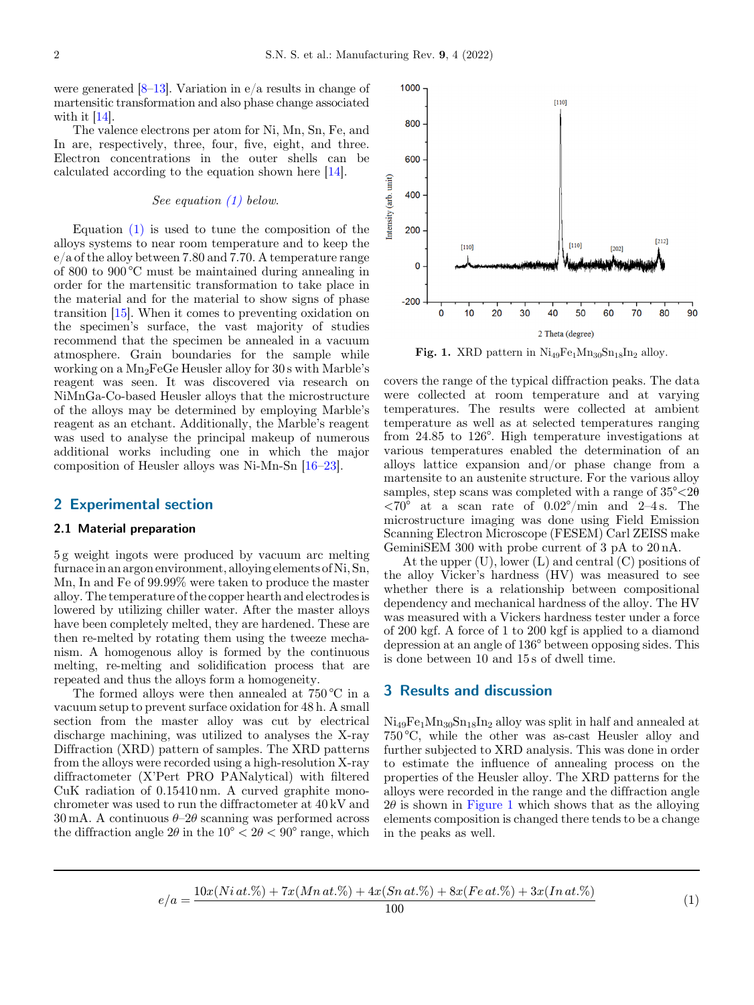<span id="page-1-0"></span>were generated  $[8-13]$  $[8-13]$  $[8-13]$ . Variation in e/a results in change of martensitic transformation and also phase change associated with it [[14](#page-4-0)].

The valence electrons per atom for Ni, Mn, Sn, Fe, and In are, respectively, three, four, five, eight, and three. Electron concentrations in the outer shells can be calculated according to the equation shown here [\[14](#page-4-0)].

#### See equation (1) below.

Equation  $(1)$  is used to tune the composition of the alloys systems to near room temperature and to keep the e/a of the alloy between 7.80 and 7.70. A temperature range of 800 to 900 °C must be maintained during annealing in order for the martensitic transformation to take place in the material and for the material to show signs of phase transition [\[15](#page-4-0)]. When it comes to preventing oxidation on the specimen's surface, the vast majority of studies recommend that the specimen be annealed in a vacuum atmosphere. Grain boundaries for the sample while working on a Mn2FeGe Heusler alloy for 30 s with Marble's reagent was seen. It was discovered via research on NiMnGa-Co-based Heusler alloys that the microstructure of the alloys may be determined by employing Marble's reagent as an etchant. Additionally, the Marble's reagent was used to analyse the principal makeup of numerous additional works including one in which the major composition of Heusler alloys was Ni-Mn-Sn [\[16](#page-4-0)–[23\]](#page-4-0).

# 2 Experimental section

#### 2.1 Material preparation

5 g weight ingots were produced by vacuum arc melting furnacein an argon environment, alloying elements of Ni, Sn, Mn, In and Fe of 99.99% were taken to produce the master alloy. The temperature of the copper hearth and electrodes is lowered by utilizing chiller water. After the master alloys have been completely melted, they are hardened. These are then re-melted by rotating them using the tweeze mechanism. A homogenous alloy is formed by the continuous melting, re-melting and solidification process that are repeated and thus the alloys form a homogeneity.

The formed alloys were then annealed at 750 °C in a vacuum setup to prevent surface oxidation for 48 h. A small section from the master alloy was cut by electrical discharge machining, was utilized to analyses the X-ray Diffraction (XRD) pattern of samples. The XRD patterns from the alloys were recorded using a high-resolution X-ray diffractometer (X'Pert PRO PANalytical) with filtered CuK radiation of 0.15410 nm. A curved graphite monochrometer was used to run the diffractometer at 40 kV and  $30 \text{ mA}$ . A continuous  $\theta$ - $2\theta$  scanning was performed across the diffraction angle  $2\theta$  in the  $10^{\circ} < 2\theta < 90^{\circ}$  range, which



Fig. 1. XRD pattern in  $Ni_{49}Fe<sub>1</sub>Mn<sub>30</sub>Sn<sub>18</sub>In<sub>2</sub> alloy.$ 

covers the range of the typical diffraction peaks. The data were collected at room temperature and at varying temperatures. The results were collected at ambient temperature as well as at selected temperatures ranging from 24.85 to 126°. High temperature investigations at various temperatures enabled the determination of an alloys lattice expansion and/or phase change from a martensite to an austenite structure. For the various alloy samples, step scans was completed with a range of  $35^{\circ} < 20$  $\langle 70^\circ \text{ at a scan rate of } 0.02^\circ / \text{min and } 2-4 \text{ s. The}$ microstructure imaging was done using Field Emission Scanning Electron Microscope (FESEM) Carl ZEISS make GeminiSEM 300 with probe current of 3 pA to 20 nA.

At the upper  $(U)$ , lower  $(L)$  and central  $(C)$  positions of the alloy Vicker's hardness (HV) was measured to see whether there is a relationship between compositional dependency and mechanical hardness of the alloy. The HV was measured with a Vickers hardness tester under a force of 200 kgf. A force of 1 to 200 kgf is applied to a diamond depression at an angle of 136° between opposing sides. This is done between 10 and 15 s of dwell time.

## 3 Results and discussion

 $Ni_{49}Fe_1Mn_{30}Sn_{18}In_2$  alloy was split in half and annealed at 750 °C, while the other was as-cast Heusler alloy and further subjected to XRD analysis. This was done in order to estimate the influence of annealing process on the properties of the Heusler alloy. The XRD patterns for the alloys were recorded in the range and the diffraction angle  $2\theta$  is shown in Figure 1 which shows that as the alloying elements composition is changed there tends to be a change in the peaks as well.

 $e/a = \frac{10x(Ni\,at.\%) + 7x(Mn\,at.\%) + 4x(Sn\,at.\%) + 8x(Fe\,at.\%) + 3x(In\,at.\%)}{100}$  (1)

$$
(1)
$$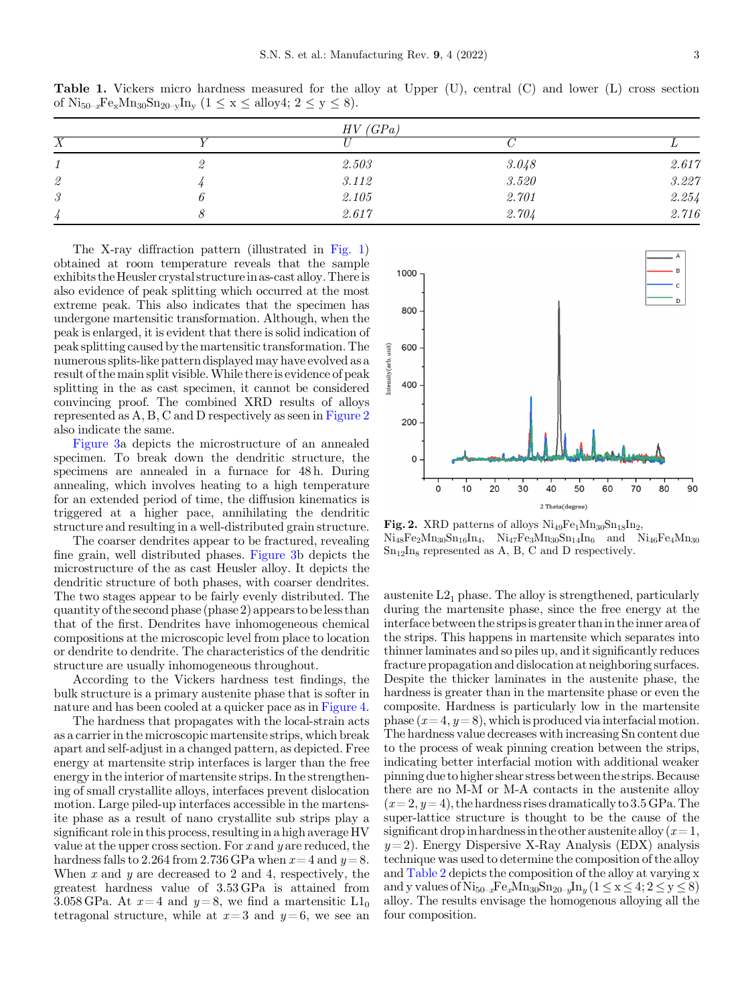Table 1. Vickers micro hardness measured for the alloy at Upper (U), central (C) and lower (L) cross section of  $\text{Ni}_{50-x}\text{Fe}_{x}\text{Mn}_{30}\text{Sn}_{20-y}\text{In}_{y}$   $(1 \leq x \leq \text{alloy4}; 2 \leq y \leq 8).$ 

|               | HV(GPa) |             |       |
|---------------|---------|-------------|-------|
| $\Lambda$     |         |             |       |
|               | 2.503   | 3.048       | 2.617 |
| $\it 2$       | 3.112   | $\it 3.520$ | 3.227 |
| $\mathcal{S}$ | 2.105   | 2.701       | 2.254 |
| 4             | 2.617   | 2.704       | 2.716 |

The X-ray diffraction pattern (illustrated in [Fig. 1](#page-1-0)) obtained at room temperature reveals that the sample exhibits theHeusler crystal structurein as-cast alloy. Thereis also evidence of peak splitting which occurred at the most extreme peak. This also indicates that the specimen has undergone martensitic transformation. Although, when the peak is enlarged, it is evident that there is solid indication of peak splitting caused by the martensitic transformation. The numerous splits-like pattern displayed may have evolved as a result of the main split visible.While there is evidence of peak splitting in the as cast specimen, it cannot be considered convincing proof. The combined XRD results of alloys represented as A, B, C and D respectively as seen in Figure 2 also indicate the same.

[Figure 3](#page-3-0)a depicts the microstructure of an annealed specimen. To break down the dendritic structure, the specimens are annealed in a furnace for 48h. During annealing, which involves heating to a high temperature for an extended period of time, the diffusion kinematics is triggered at a higher pace, annihilating the dendritic structure and resulting in a well-distributed grain structure.

The coarser dendrites appear to be fractured, revealing fine grain, well distributed phases. [Figure 3](#page-3-0)b depicts the microstructure of the as cast Heusler alloy. It depicts the dendritic structure of both phases, with coarser dendrites. The two stages appear to be fairly evenly distributed. The quantity of the second phase (phase 2) appears to beless than that of the first. Dendrites have inhomogeneous chemical compositions at the microscopic level from place to location or dendrite to dendrite. The characteristics of the dendritic structure are usually inhomogeneous throughout.

According to the Vickers hardness test findings, the bulk structure is a primary austenite phase that is softer in nature and has been cooled at a quicker pace as in [Figure 4](#page-3-0).

The hardness that propagates with the local-strain acts as a carrier in the microscopic martensite strips, which break apart and self-adjust in a changed pattern, as depicted. Free energy at martensite strip interfaces is larger than the free energy in the interior of martensite strips. In the strengthening of small crystallite alloys, interfaces prevent dislocation motion. Large piled-up interfaces accessible in the martensite phase as a result of nano crystallite sub strips play a significant role in this process, resulting in a high average HV value at the upper cross section. For  $x$  and  $y$  are reduced, the hardness falls to 2.264 from 2.736 GPa when  $x = 4$  and  $y = 8$ . When  $x$  and  $y$  are decreased to 2 and 4, respectively, the greatest hardness value of 3.53 GPa is attained from 3.058 GPa. At  $x=4$  and  $y=8$ , we find a martensitic  $L1_0$ tetragonal structure, while at  $x=3$  and  $y=6$ , we see an



Fig. 2. XRD patterns of alloys  $\text{Ni}_{49}\text{Fe}_1\text{Mn}_{30}\text{Sn}_{18}\text{In}_2$ ,  $Ni_{48}Fe_2Mn_{30}Sn_{16}In_4$ ,  $Ni_{47}Fe_3Mn_{30}Sn_{14}In_6$  and  $Ni_{46}Fe_4Mn_{30}$  $Sn_{12}In_8$  represented as A, B, C and D respectively.

austenite  $L2_1$  phase. The alloy is strengthened, particularly during the martensite phase, since the free energy at the interface between the stripsis greater thanin the inner area of the strips. This happens in martensite which separates into thinner laminates and so piles up, and it significantly reduces fracture propagation and dislocation at neighboring surfaces. Despite the thicker laminates in the austenite phase, the hardness is greater than in the martensite phase or even the composite. Hardness is particularly low in the martensite phase  $(x=4, y=8)$ , which is produced via interfacial motion. The hardness value decreases with increasing Sn content due to the process of weak pinning creation between the strips, indicating better interfacial motion with additional weaker pinning due to higher shear stress between the strips. Because there are no M-M or M-A contacts in the austenite alloy  $(x=2, y=4)$ , the hardness rises dramatically to 3.5 GPa. The super-lattice structure is thought to be the cause of the significant drop in hardness in the other austenite alloy  $(x=1,$  $y=2$ ). Energy Dispersive X-Ray Analysis (EDX) analysis technique was used to determine the composition of the alloy and [Table 2](#page-3-0) depicts the composition of the alloy at varying x and y values of  $\text{Ni}_{50-x}\text{Fe}_{x}\text{Mn}_{30}\text{Sn}_{20-y}\text{In}_{y}$  ( $1 \le x \le 4$ ;  $2 \le y \le 8$ ) alloy. The results envisage the homogenous alloying all the four composition.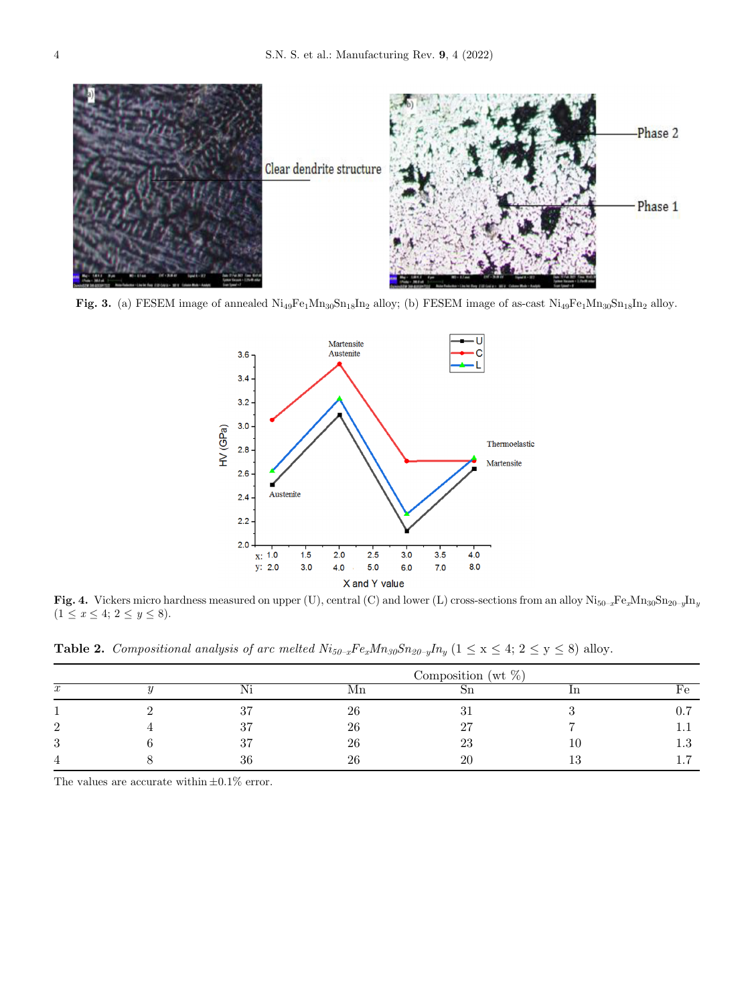<span id="page-3-0"></span>

Fig. 3. (a) FESEM image of annealed  $\text{Ni}_{49}\text{Fe}_{1}\text{Mn}_{30}\text{Sn}_{18}\text{In}_{2}$  alloy; (b) FESEM image of as-cast  $\text{Ni}_{49}\text{Fe}_{1}\text{Mn}_{30}\text{Sn}_{18}\text{In}_{2}$  alloy.



Fig. 4. Vickers micro hardness measured on upper (U), central (C) and lower (L) cross-sections from an alloy  $\text{Ni}_{50-x}\text{Fe}_{x}\text{Mn}_{30}\text{Sn}_{20-y}\text{In}_{y}$  $(1 \le x \le 4; 2 \le y \le 8).$ 

**Table 2.** Compositional analysis of arc melted  $Ni_{50-x}Fe_xMn_{30}Sn_{20-y}In_y$   $(1 \le x \le 4; 2 \le y \le 8)$  alloy.

|         | Composition (wt $\%$ ) |    |             |  |     |  |  |  |
|---------|------------------------|----|-------------|--|-----|--|--|--|
| w       | Ni                     | Mn |             |  | e   |  |  |  |
|         | റ⊫                     | 26 |             |  |     |  |  |  |
| ົ       | 37                     | 26 | ∩г          |  |     |  |  |  |
| ച<br>., | ∩⊨                     | 26 | $\angle$ .) |  | ⊥.∪ |  |  |  |
|         | 36                     | 26 |             |  |     |  |  |  |

The values are accurate within  $\pm 0.1\%$  error.